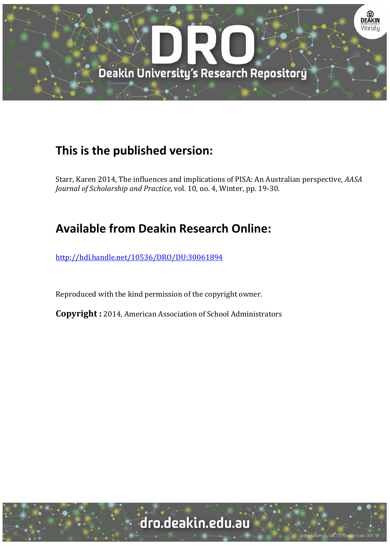

# **This is the published version:**

Starr, Karen 2014, The influences and implications of PISA: An Australian perspective, *AASA Journal of Scholarship and Practice, vol.* 10, no. 4, Winter, pp. 19-30.

# **Available from Deakin Research Online:**

http://hdl.handle.net/10536/DRO/DU:30061894

Reproduced with the kind permission of the copyright owner.

**Copyright** : 2014, American Association of School Administrators

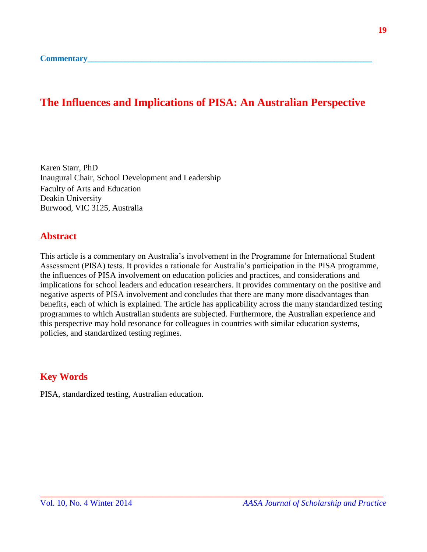### **The Influences and Implications of PISA: An Australian Perspective**

Karen Starr, PhD Inaugural Chair, School Development and Leadership Faculty of Arts and Education Deakin University Burwood, VIC 3125, Australia

#### **Abstract**

This article is a commentary on Australia's involvement in the Programme for International Student Assessment (PISA) tests. It provides a rationale for Australia's participation in the PISA programme, the influences of PISA involvement on education policies and practices, and considerations and implications for school leaders and education researchers. It provides commentary on the positive and negative aspects of PISA involvement and concludes that there are many more disadvantages than benefits, each of which is explained. The article has applicability across the many standardized testing programmes to which Australian students are subjected. Furthermore, the Australian experience and this perspective may hold resonance for colleagues in countries with similar education systems, policies, and standardized testing regimes.

\_\_\_\_\_\_\_\_\_\_\_\_\_\_\_\_\_\_\_\_\_\_\_\_\_\_\_\_\_\_\_\_\_\_\_\_\_\_\_\_\_\_\_\_\_\_\_\_\_\_\_\_\_\_\_\_\_\_\_\_\_\_\_\_\_\_\_\_\_\_\_\_\_\_\_\_\_\_\_\_\_\_

### **Key Words**

PISA, standardized testing, Australian education.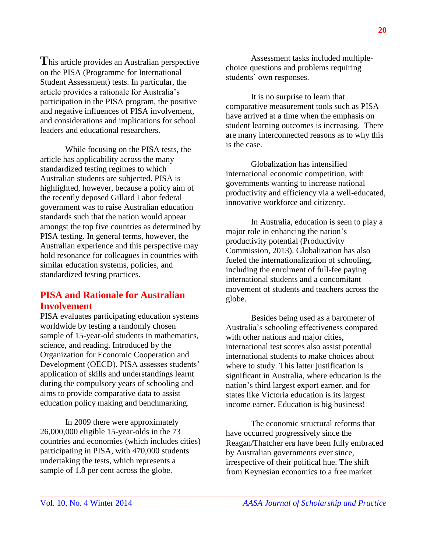**T**his article provides an Australian perspective on the PISA (Programme for International Student Assessment) tests. In particular, the article provides a rationale for Australia's participation in the PISA program, the positive and negative influences of PISA involvement, and considerations and implications for school leaders and educational researchers.

While focusing on the PISA tests, the article has applicability across the many standardized testing regimes to which Australian students are subjected. PISA is highlighted, however, because a policy aim of the recently deposed Gillard Labor federal government was to raise Australian education standards such that the nation would appear amongst the top five countries as determined by PISA testing. In general terms, however, the Australian experience and this perspective may hold resonance for colleagues in countries with similar education systems, policies, and standardized testing practices.

#### **PISA and Rationale for Australian Involvement**

PISA evaluates participating education systems worldwide by testing a randomly chosen sample of 15-year-old students in mathematics, science, and reading. Introduced by the Organization for Economic Cooperation and Development (OECD), PISA assesses students' application of skills and understandings learnt during the compulsory years of schooling and aims to provide comparative data to assist education policy making and benchmarking.

In 2009 there were approximately 26,000,000 eligible 15-year-olds in the 73 countries and economies (which includes cities) participating in PISA, with 470,000 students undertaking the tests, which represents a sample of 1.8 per cent across the globe.

\_\_\_\_\_\_\_\_\_\_\_\_\_\_\_\_\_\_\_\_\_\_\_\_\_\_\_\_\_\_\_\_\_\_\_\_\_\_\_\_\_\_\_\_\_\_\_\_\_\_\_\_\_\_\_\_\_\_\_\_\_\_\_\_\_\_\_\_\_\_\_\_\_\_\_\_\_\_\_\_\_\_

Assessment tasks included multiplechoice questions and problems requiring students' own responses.

It is no surprise to learn that comparative measurement tools such as PISA have arrived at a time when the emphasis on student learning outcomes is increasing. There are many interconnected reasons as to why this is the case.

Globalization has intensified international economic competition, with governments wanting to increase national productivity and efficiency via a well-educated, innovative workforce and citizenry.

In Australia, education is seen to play a major role in enhancing the nation's productivity potential (Productivity Commission, 2013). Globalization has also fueled the internationalization of schooling, including the enrolment of full-fee paying international students and a concomitant movement of students and teachers across the globe.

Besides being used as a barometer of Australia's schooling effectiveness compared with other nations and major cities, international test scores also assist potential international students to make choices about where to study. This latter justification is significant in Australia, where education is the nation's third largest export earner, and for states like Victoria education is its largest income earner. Education is big business!

The economic structural reforms that have occurred progressively since the Reagan/Thatcher era have been fully embraced by Australian governments ever since, irrespective of their political hue. The shift from Keynesian economics to a free market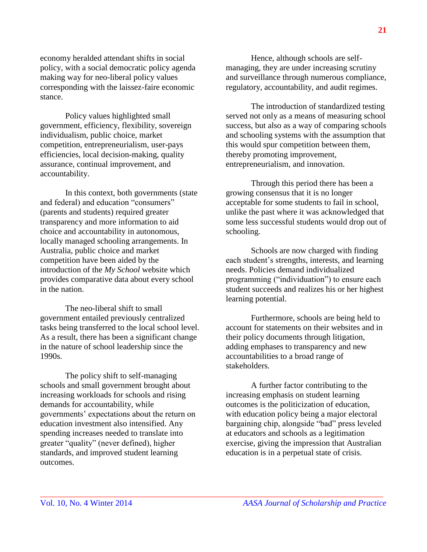economy heralded attendant shifts in social policy, with a social democratic policy agenda making way for neo-liberal policy values corresponding with the laissez-faire economic stance.

Policy values highlighted small government, efficiency, flexibility, sovereign individualism, public choice, market competition, entrepreneurialism, user-pays efficiencies, local decision-making, quality assurance, continual improvement, and accountability.

In this context, both governments (state and federal) and education "consumers" (parents and students) required greater transparency and more information to aid choice and accountability in autonomous, locally managed schooling arrangements. In Australia, public choice and market competition have been aided by the introduction of the *My School* website which provides comparative data about every school in the nation.

The neo-liberal shift to small government entailed previously centralized tasks being transferred to the local school level. As a result, there has been a significant change in the nature of school leadership since the 1990s.

The policy shift to self-managing schools and small government brought about increasing workloads for schools and rising demands for accountability, while governments' expectations about the return on education investment also intensified. Any spending increases needed to translate into greater "quality" (never defined), higher standards, and improved student learning outcomes.

Hence, although schools are selfmanaging, they are under increasing scrutiny and surveillance through numerous compliance, regulatory, accountability, and audit regimes.

The introduction of standardized testing served not only as a means of measuring school success, but also as a way of comparing schools and schooling systems with the assumption that this would spur competition between them, thereby promoting improvement, entrepreneurialism, and innovation.

Through this period there has been a growing consensus that it is no longer acceptable for some students to fail in school, unlike the past where it was acknowledged that some less successful students would drop out of schooling.

Schools are now charged with finding each student's strengths, interests, and learning needs. Policies demand individualized programming ("individuation") to ensure each student succeeds and realizes his or her highest learning potential.

Furthermore, schools are being held to account for statements on their websites and in their policy documents through litigation, adding emphases to transparency and new accountabilities to a broad range of stakeholders.

A further factor contributing to the increasing emphasis on student learning outcomes is the politicization of education, with education policy being a major electoral bargaining chip, alongside "bad" press leveled at educators and schools as a legitimation exercise, giving the impression that Australian education is in a perpetual state of crisis.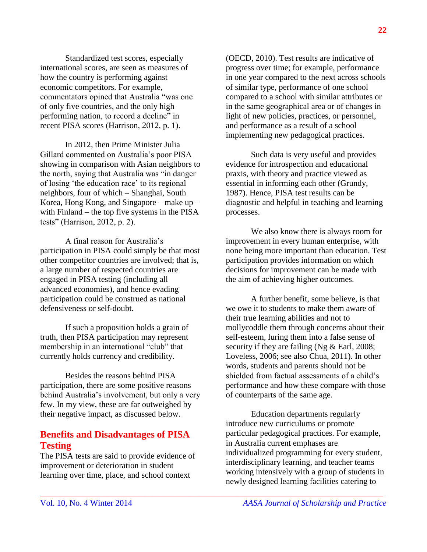Standardized test scores, especially international scores, are seen as measures of how the country is performing against economic competitors. For example, commentators opined that Australia "was one of only five countries, and the only high performing nation, to record a decline" in recent PISA scores (Harrison, 2012, p. 1).

In 2012, then Prime Minister Julia Gillard commented on Australia's poor PISA showing in comparison with Asian neighbors to the north, saying that Australia was "in danger of losing 'the education race' to its regional neighbors, four of which – Shanghai, South Korea, Hong Kong, and Singapore – make up – with Finland – the top five systems in the PISA tests" (Harrison, 2012, p. 2).

A final reason for Australia's participation in PISA could simply be that most other competitor countries are involved; that is, a large number of respected countries are engaged in PISA testing (including all advanced economies), and hence evading participation could be construed as national defensiveness or self-doubt.

If such a proposition holds a grain of truth, then PISA participation may represent membership in an international "club" that currently holds currency and credibility.

Besides the reasons behind PISA participation, there are some positive reasons behind Australia's involvement, but only a very few. In my view, these are far outweighed by their negative impact, as discussed below.

#### **Benefits and Disadvantages of PISA Testing**

The PISA tests are said to provide evidence of improvement or deterioration in student learning over time, place, and school context

\_\_\_\_\_\_\_\_\_\_\_\_\_\_\_\_\_\_\_\_\_\_\_\_\_\_\_\_\_\_\_\_\_\_\_\_\_\_\_\_\_\_\_\_\_\_\_\_\_\_\_\_\_\_\_\_\_\_\_\_\_\_\_\_\_\_\_\_\_\_\_\_\_\_\_\_\_\_\_\_\_\_

(OECD, 2010). Test results are indicative of progress over time; for example, performance in one year compared to the next across schools of similar type, performance of one school compared to a school with similar attributes or in the same geographical area or of changes in light of new policies, practices, or personnel, and performance as a result of a school implementing new pedagogical practices.

Such data is very useful and provides evidence for introspection and educational praxis, with theory and practice viewed as essential in informing each other (Grundy, 1987). Hence, PISA test results can be diagnostic and helpful in teaching and learning processes.

We also know there is always room for improvement in every human enterprise, with none being more important than education. Test participation provides information on which decisions for improvement can be made with the aim of achieving higher outcomes.

A further benefit, some believe, is that we owe it to students to make them aware of their true learning abilities and not to mollycoddle them through concerns about their self-esteem, luring them into a false sense of security if they are failing (Ng & Earl, 2008; Loveless, 2006; see also Chua, 2011). In other words, students and parents should not be shielded from factual assessments of a child's performance and how these compare with those of counterparts of the same age.

Education departments regularly introduce new curriculums or promote particular pedagogical practices. For example, in Australia current emphases are individualized programming for every student, interdisciplinary learning, and teacher teams working intensively with a group of students in newly designed learning facilities catering to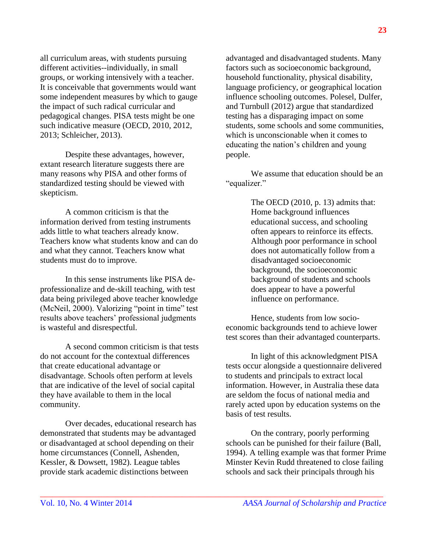all curriculum areas, with students pursuing different activities--individually, in small groups, or working intensively with a teacher. It is conceivable that governments would want some independent measures by which to gauge the impact of such radical curricular and pedagogical changes. PISA tests might be one such indicative measure (OECD, 2010, 2012, 2013; Schleicher, 2013).

Despite these advantages, however, extant research literature suggests there are many reasons why PISA and other forms of standardized testing should be viewed with skepticism.

A common criticism is that the information derived from testing instruments adds little to what teachers already know. Teachers know what students know and can do and what they cannot. Teachers know what students must do to improve.

In this sense instruments like PISA deprofessionalize and de-skill teaching, with test data being privileged above teacher knowledge (McNeil, 2000). Valorizing "point in time" test results above teachers' professional judgments is wasteful and disrespectful.

A second common criticism is that tests do not account for the contextual differences that create educational advantage or disadvantage. Schools often perform at levels that are indicative of the level of social capital they have available to them in the local community.

Over decades, educational research has demonstrated that students may be advantaged or disadvantaged at school depending on their home circumstances (Connell, Ashenden, Kessler, & Dowsett, 1982). League tables provide stark academic distinctions between

advantaged and disadvantaged students. Many factors such as socioeconomic background, household functionality, physical disability, language proficiency, or geographical location influence schooling outcomes. Polesel, Dulfer, and Turnbull (2012) argue that standardized testing has a disparaging impact on some students, some schools and some communities, which is unconscionable when it comes to educating the nation's children and young people.

We assume that education should be an "equalizer."

> The OECD (2010, p. 13) admits that: Home background influences educational success, and schooling often appears to reinforce its effects. Although poor performance in school does not automatically follow from a disadvantaged socioeconomic background, the socioeconomic background of students and schools does appear to have a powerful influence on performance.

Hence, students from low socioeconomic backgrounds tend to achieve lower test scores than their advantaged counterparts.

In light of this acknowledgment PISA tests occur alongside a questionnaire delivered to students and principals to extract local information. However, in Australia these data are seldom the focus of national media and rarely acted upon by education systems on the basis of test results.

On the contrary, poorly performing schools can be punished for their failure (Ball, 1994). A telling example was that former Prime Minster Kevin Rudd threatened to close failing schools and sack their principals through his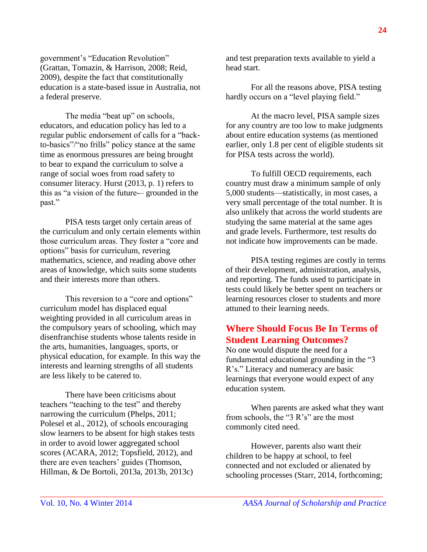government's "Education Revolution" (Grattan, Tomazin, & Harrison, 2008; Reid, 2009), despite the fact that constitutionally education is a state-based issue in Australia, not a federal preserve.

The media "beat up" on schools, educators, and education policy has led to a regular public endorsement of calls for a "backto-basics"/"no frills" policy stance at the same time as enormous pressures are being brought to bear to expand the curriculum to solve a range of social woes from road safety to consumer literacy. Hurst (2013, p. 1) refers to this as "a vision of the future-– grounded in the past."

PISA tests target only certain areas of the curriculum and only certain elements within those curriculum areas. They foster a "core and options" basis for curriculum, revering mathematics, science, and reading above other areas of knowledge, which suits some students and their interests more than others.

This reversion to a "core and options" curriculum model has displaced equal weighting provided in all curriculum areas in the compulsory years of schooling, which may disenfranchise students whose talents reside in the arts, humanities, languages, sports, or physical education, for example. In this way the interests and learning strengths of all students are less likely to be catered to.

There have been criticisms about teachers "teaching to the test" and thereby narrowing the curriculum (Phelps, 2011; Polesel et al., 2012), of schools encouraging slow learners to be absent for high stakes tests in order to avoid lower aggregated school scores (ACARA, 2012; Topsfield, 2012), and there are even teachers' guides (Thomson, Hillman, & De Bortoli, 2013a, 2013b, 2013c)

and test preparation texts available to yield a head start.

For all the reasons above, PISA testing hardly occurs on a "level playing field."

At the macro level, PISA sample sizes for any country are too low to make judgments about entire education systems (as mentioned earlier, only 1.8 per cent of eligible students sit for PISA tests across the world).

To fulfill OECD requirements, each country must draw a minimum sample of only 5,000 students—statistically, in most cases, a very small percentage of the total number. It is also unlikely that across the world students are studying the same material at the same ages and grade levels. Furthermore, test results do not indicate how improvements can be made.

PISA testing regimes are costly in terms of their development, administration, analysis, and reporting. The funds used to participate in tests could likely be better spent on teachers or learning resources closer to students and more attuned to their learning needs.

#### **Where Should Focus Be In Terms of Student Learning Outcomes?**

No one would dispute the need for a fundamental educational grounding in the "3 R's." Literacy and numeracy are basic learnings that everyone would expect of any education system.

When parents are asked what they want from schools, the "3 R's" are the most commonly cited need.

However, parents also want their children to be happy at school, to feel connected and not excluded or alienated by schooling processes (Starr, 2014, forthcoming;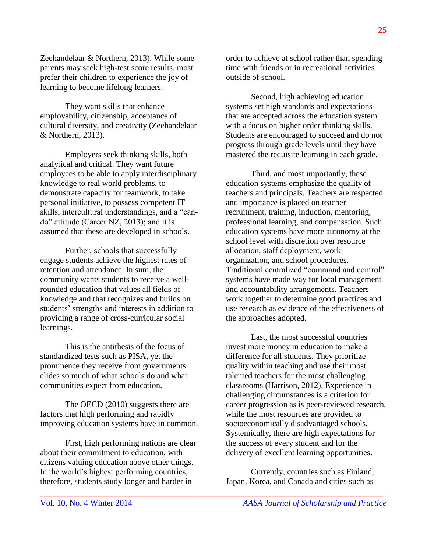Zeehandelaar & Northern, 2013). While some parents may seek high-test score results, most prefer their children to experience the joy of learning to become lifelong learners.

They want skills that enhance employability, citizenship, acceptance of cultural diversity, and creativity (Zeehandelaar & Northern, 2013).

Employers seek thinking skills, both analytical and critical. They want future employees to be able to apply interdisciplinary knowledge to real world problems, to demonstrate capacity for teamwork, to take personal initiative, to possess competent IT skills, intercultural understandings, and a "cando" attitude (Career NZ, 2013); and it is assumed that these are developed in schools.

Further, schools that successfully engage students achieve the highest rates of retention and attendance. In sum, the community wants students to receive a wellrounded education that values all fields of knowledge and that recognizes and builds on students' strengths and interests in addition to providing a range of cross-curricular social learnings.

This is the antithesis of the focus of standardized tests such as PISA, yet the prominence they receive from governments elides so much of what schools do and what communities expect from education.

The OECD (2010) suggests there are factors that high performing and rapidly improving education systems have in common.

First, high performing nations are clear about their commitment to education, with citizens valuing education above other things. In the world's highest performing countries, therefore, students study longer and harder in

order to achieve at school rather than spending time with friends or in recreational activities outside of school.

Second, high achieving education systems set high standards and expectations that are accepted across the education system with a focus on higher order thinking skills. Students are encouraged to succeed and do not progress through grade levels until they have mastered the requisite learning in each grade.

Third, and most importantly, these education systems emphasize the quality of teachers and principals. Teachers are respected and importance is placed on teacher recruitment, training, induction, mentoring, professional learning, and compensation. Such education systems have more autonomy at the school level with discretion over resource allocation, staff deployment, work organization, and school procedures. Traditional centralized "command and control" systems have made way for local management and accountability arrangements. Teachers work together to determine good practices and use research as evidence of the effectiveness of the approaches adopted.

Last, the most successful countries invest more money in education to make a difference for all students. They prioritize quality within teaching and use their most talented teachers for the most challenging classrooms (Harrison, 2012). Experience in challenging circumstances is a criterion for career progression as is peer-reviewed research, while the most resources are provided to socioeconomically disadvantaged schools. Systemically, there are high expectations for the success of every student and for the delivery of excellent learning opportunities.

Currently, countries such as Finland, Japan, Korea, and Canada and cities such as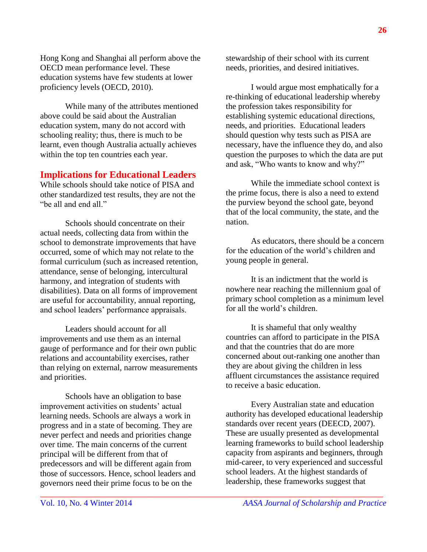Hong Kong and Shanghai all perform above the OECD mean performance level. These education systems have few students at lower proficiency levels (OECD, 2010).

While many of the attributes mentioned above could be said about the Australian education system, many do not accord with schooling reality; thus, there is much to be learnt, even though Australia actually achieves within the top ten countries each year.

#### **Implications for Educational Leaders**

While schools should take notice of PISA and other standardized test results, they are not the "be all and end all."

Schools should concentrate on their actual needs, collecting data from within the school to demonstrate improvements that have occurred, some of which may not relate to the formal curriculum (such as increased retention, attendance, sense of belonging, intercultural harmony, and integration of students with disabilities). Data on all forms of improvement are useful for accountability, annual reporting, and school leaders' performance appraisals.

Leaders should account for all improvements and use them as an internal gauge of performance and for their own public relations and accountability exercises, rather than relying on external, narrow measurements and priorities.

Schools have an obligation to base improvement activities on students' actual learning needs. Schools are always a work in progress and in a state of becoming. They are never perfect and needs and priorities change over time. The main concerns of the current principal will be different from that of predecessors and will be different again from those of successors. Hence, school leaders and governors need their prime focus to be on the

stewardship of their school with its current needs, priorities, and desired initiatives.

I would argue most emphatically for a re-thinking of educational leadership whereby the profession takes responsibility for establishing systemic educational directions, needs, and priorities. Educational leaders should question why tests such as PISA are necessary, have the influence they do, and also question the purposes to which the data are put and ask, "Who wants to know and why?"

While the immediate school context is the prime focus, there is also a need to extend the purview beyond the school gate, beyond that of the local community, the state, and the nation.

As educators, there should be a concern for the education of the world's children and young people in general.

It is an indictment that the world is nowhere near reaching the millennium goal of primary school completion as a minimum level for all the world's children.

It is shameful that only wealthy countries can afford to participate in the PISA and that the countries that do are more concerned about out-ranking one another than they are about giving the children in less affluent circumstances the assistance required to receive a basic education.

Every Australian state and education authority has developed educational leadership standards over recent years (DEECD, 2007). These are usually presented as developmental learning frameworks to build school leadership capacity from aspirants and beginners, through mid-career, to very experienced and successful school leaders. At the highest standards of leadership, these frameworks suggest that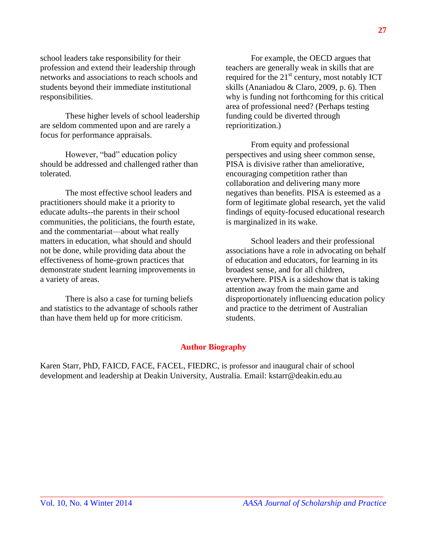school leaders take responsibility for their profession and extend their leadership through networks and associations to reach schools and students beyond their immediate institutional responsibilities.

These higher levels of school leadership are seldom commented upon and are rarely a focus for performance appraisals.

However, "bad" education policy should be addressed and challenged rather than tolerated.

The most effective school leaders and practitioners should make it a priority to educate adults--the parents in their school communities, the politicians, the fourth estate, and the commentariat—about what really matters in education, what should and should not be done, while providing data about the effectiveness of home-grown practices that demonstrate student learning improvements in a variety of areas.

There is also a case for turning beliefs and statistics to the advantage of schools rather than have them held up for more criticism.

For example, the OECD argues that teachers are generally weak in skills that are required for the  $21<sup>st</sup>$  century, most notably ICT skills (Ananiadou & Claro, 2009, p. 6). Then why is funding not forthcoming for this critical area of professional need? (Perhaps testing funding could be diverted through reprioritization.)

From equity and professional perspectives and using sheer common sense, PISA is divisive rather than ameliorative, encouraging competition rather than collaboration and delivering many more negatives than benefits. PISA is esteemed as a form of legitimate global research, yet the valid findings of equity-focused educational research is marginalized in its wake.

School leaders and their professional associations have a role in advocating on behalf of education and educators, for learning in its broadest sense, and for all children, everywhere. PISA is a sideshow that is taking attention away from the main game and disproportionately influencing education policy and practice to the detriment of Australian students.

#### **Author Biography**

\_\_\_\_\_\_\_\_\_\_\_\_\_\_\_\_\_\_\_\_\_\_\_\_\_\_\_\_\_\_\_\_\_\_\_\_\_\_\_\_\_\_\_\_\_\_\_\_\_\_\_\_\_\_\_\_\_\_\_\_\_\_\_\_\_\_\_\_\_\_\_\_\_\_\_\_\_\_\_\_\_\_

Karen Starr, PhD, FAICD, FACE, FACEL, FIEDRC, is professor and inaugural chair of school development and leadership at Deakin University, Australia. Email: [kstarr@deakin.edu.au](mailto:kstarr@deakin.edu.au)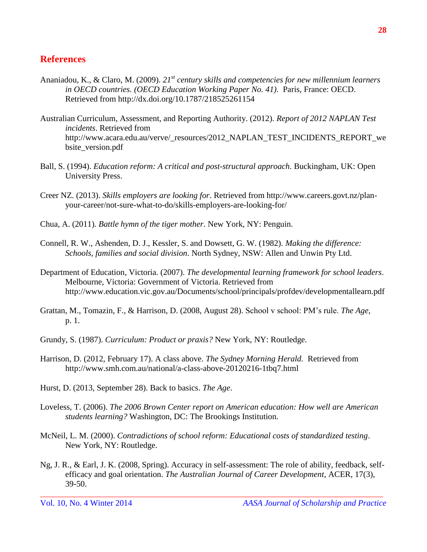#### **References**

- Ananiadou, K., & Claro, M. (2009). *21st century skills and competencies for new millennium learners in OECD countries. (OECD Education Working Paper No. 41)*. Paris, France: OECD. Retrieved from<http://dx.doi.org/10.1787/218525261154>
- Australian Curriculum, Assessment, and Reporting Authority. (2012). *Report of 2012 NAPLAN Test incidents*. Retrieved from [http://www.acara.edu.au/verve/\\_resources/2012\\_NAPLAN\\_TEST\\_INCIDENTS\\_REPORT\\_we](http://www.acara.edu.au/verve/_resources/2012_NAPLAN_TEST_INCIDENTS_REPORT_website_version.pdf) [bsite\\_version.pdf](http://www.acara.edu.au/verve/_resources/2012_NAPLAN_TEST_INCIDENTS_REPORT_website_version.pdf)
- Ball, S. (1994). *Education reform: A critical and post-structural approach*. Buckingham, UK: Open University Press.
- Creer NZ. (2013). *Skills employers are looking for*. Retrieved from [http://www.careers.govt.nz/plan](http://www.careers.govt.nz/plan-your-career/not-sure-what-to-do/skills-employers-are-looking-for/)[your-career/not-sure-what-to-do/skills-employers-are-looking-for/](http://www.careers.govt.nz/plan-your-career/not-sure-what-to-do/skills-employers-are-looking-for/)
- Chua, A. (2011). *Battle hymn of the tiger mother*. New York, NY: Penguin.
- Connell, R. W., Ashenden, D. J., Kessler, S. and Dowsett, G. W. (1982). *Making the difference: Schools, families and social division*. North Sydney, NSW: Allen and Unwin Pty Ltd.
- Department of Education, Victoria. (2007). *The developmental learning framework for school leaders*. Melbourne, Victoria: Government of Victoria. Retrieved from <http://www.education.vic.gov.au/Documents/school/principals/profdev/developmentallearn.pdf>
- Grattan, M., Tomazin, F., & Harrison, D. (2008, August 28). School v school: PM's rule. *The Age*, p. 1.
- Grundy, S. (1987). *Curriculum: Product or praxis?* New York, NY: Routledge.
- Harrison, D. (2012, February 17). A class above. *The Sydney Morning Herald.* Retrieved from <http://www.smh.com.au/national/a-class-above-20120216-1tbq7.html>
- Hurst, D. (2013, September 28). Back to basics. *The Age*.
- Loveless, T. (2006). *The 2006 Brown Center report on American education: How well are American students learning?* Washington, DC: The Brookings Institution.
- McNeil, L. M. (2000). *Contradictions of school reform: Educational costs of standardized testing*. New York, NY: Routledge.
- Ng, J. R., & Earl, J. K. (2008, Spring). Accuracy in self-assessment: The role of ability, feedback, selfefficacy and goal orientation. *The Australian Journal of Career Development*, ACER, 17(3), 39-50.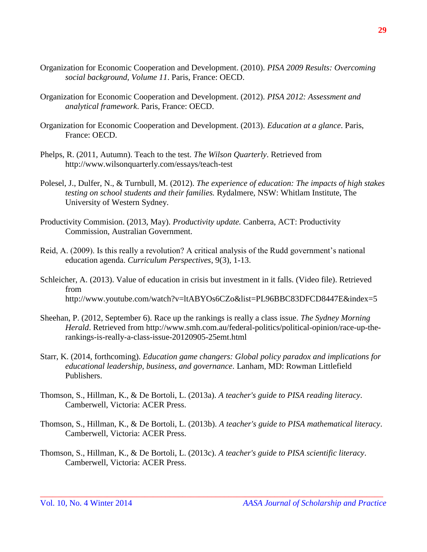- Organization for Economic Cooperation and Development. (2010). *PISA 2009 Results: Overcoming social background, Volume 11*. Paris, France: OECD.
- Organization for Economic Cooperation and Development. (2012). *PISA 2012: Assessment and analytical framework*. Paris, France: OECD.
- Organization for Economic Cooperation and Development. (2013). *Education at a glance*. Paris, France: OECD.
- Phelps, R. (2011, Autumn). Teach to the test. *The Wilson Quarterly*. Retrieved from <http://www.wilsonquarterly.com/essays/teach-test>
- Polesel, J., Dulfer, N., & Turnbull, M. (2012). *The experience of education: The impacts of high stakes testing on school students and their families.* Rydalmere, NSW: Whitlam Institute, The University of Western Sydney.
- Productivity Commision. (2013, May). *Productivity update.* Canberra, ACT: Productivity Commission, Australian Government.
- Reid, A. (2009). Is this really a revolution? A critical analysis of the Rudd government's national education agenda. *Curriculum Perspectives*, 9(3), 1-13.
- Schleicher, A. (2013). Value of education in crisis but investment in it falls. (Video file). Retrieved from <http://www.youtube.com/watch?v=ltABYOs6CZo&list=PL96BBC83DFCD8447E&index=5>
- Sheehan, P. (2012, September 6). Race up the rankings is really a class issue. *The Sydney Morning Herald*. Retrieved from [http://www.smh.com.au/federal-politics/political-opinion/race-up-the](http://www.smh.com.au/federal-politics/political-opinion/race-up-the-rankings-is-really-a-class-issue-20120905-25emt.html)[rankings-is-really-a-class-issue-20120905-25emt.html](http://www.smh.com.au/federal-politics/political-opinion/race-up-the-rankings-is-really-a-class-issue-20120905-25emt.html)
- Starr, K. (2014, forthcoming). *Education game changers: Global policy paradox and implications for educational leadership, business, and governance*. Lanham, MD: Rowman Littlefield Publishers.
- Thomson, S., Hillman, K., & De Bortoli, L. (2013a). *[A teacher's guide to PISA reading literacy](http://www.acer.edu.au/documents/PISA_Thematic_Report_-_Reading_-_web.pdf)*. Camberwell, Victoria: ACER Press.
- Thomson, S., Hillman, K., & De Bortoli, L. (2013b). *[A teacher's guide to PISA mathematical literacy](http://www.acer.edu.au/documents/PISA_Thematic_Report_-_Reading_-_web.pdf)*. Camberwell, Victoria: ACER Press.

\_\_\_\_\_\_\_\_\_\_\_\_\_\_\_\_\_\_\_\_\_\_\_\_\_\_\_\_\_\_\_\_\_\_\_\_\_\_\_\_\_\_\_\_\_\_\_\_\_\_\_\_\_\_\_\_\_\_\_\_\_\_\_\_\_\_\_\_\_\_\_\_\_\_\_\_\_\_\_\_\_\_

Thomson, S., Hillman, K., & De Bortoli, L. (2013c). *[A teacher's guide to PISA scientific literacy](http://www.acer.edu.au/documents/PISA_Thematic_Report_-_Reading_-_web.pdf)*. Camberwell, Victoria: ACER Press.